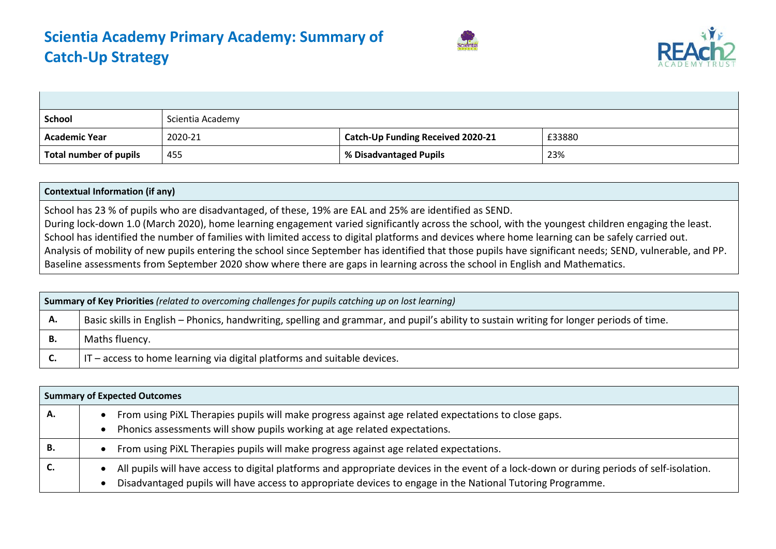



| <b>School</b>          | Scientia Academy |                                          |        |
|------------------------|------------------|------------------------------------------|--------|
| <b>Academic Year</b>   | 2020-21          | <b>Catch-Up Funding Received 2020-21</b> | £33880 |
| Total number of pupils | 455              | % Disadvantaged Pupils                   | 23%    |

## **Contextual Information (if any)**

School has 23 % of pupils who are disadvantaged, of these, 19% are EAL and 25% are identified as SEND. During lock-down 1.0 (March 2020), home learning engagement varied significantly across the school, with the youngest children engaging the least. School has identified the number of families with limited access to digital platforms and devices where home learning can be safely carried out. Analysis of mobility of new pupils entering the school since September has identified that those pupils have significant needs; SEND, vulnerable, and PP. Baseline assessments from September 2020 show where there are gaps in learning across the school in English and Mathematics.

|    | <b>Summary of Key Priorities</b> (related to overcoming challenges for pupils catching up on lost learning)                              |  |  |  |  |
|----|------------------------------------------------------------------------------------------------------------------------------------------|--|--|--|--|
| А. | Basic skills in English – Phonics, handwriting, spelling and grammar, and pupil's ability to sustain writing for longer periods of time. |  |  |  |  |
| В. | Maths fluency.                                                                                                                           |  |  |  |  |
|    | $IT$ – access to home learning via digital platforms and suitable devices.                                                               |  |  |  |  |

|    | <b>Summary of Expected Outcomes</b>                                                                                                                                                                                                                     |
|----|---------------------------------------------------------------------------------------------------------------------------------------------------------------------------------------------------------------------------------------------------------|
| А. | From using PiXL Therapies pupils will make progress against age related expectations to close gaps.<br>Phonics assessments will show pupils working at age related expectations.                                                                        |
| в. | From using PiXL Therapies pupils will make progress against age related expectations.                                                                                                                                                                   |
| c. | All pupils will have access to digital platforms and appropriate devices in the event of a lock-down or during periods of self-isolation.<br>Disadvantaged pupils will have access to appropriate devices to engage in the National Tutoring Programme. |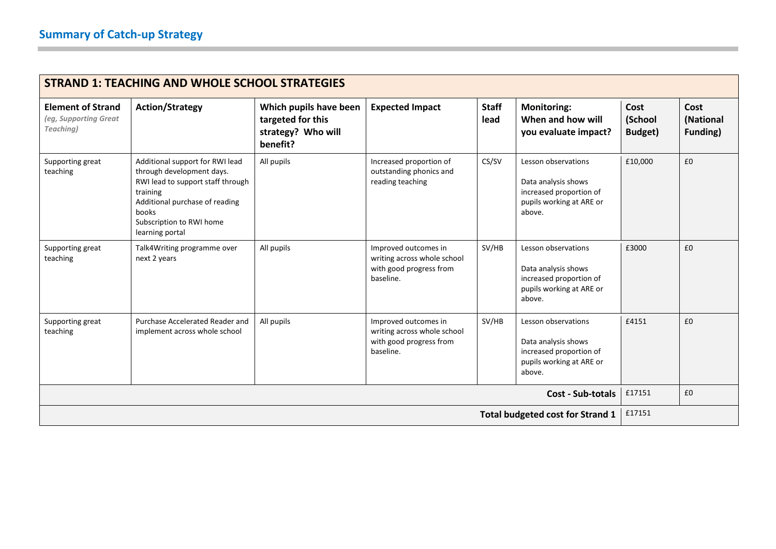|                                                                | <b>STRAND 1: TEACHING AND WHOLE SCHOOL STRATEGIES</b>                                                                                                                                                   |                                                                               |                                                                                             |                      |                                                                                                             |                            |                               |
|----------------------------------------------------------------|---------------------------------------------------------------------------------------------------------------------------------------------------------------------------------------------------------|-------------------------------------------------------------------------------|---------------------------------------------------------------------------------------------|----------------------|-------------------------------------------------------------------------------------------------------------|----------------------------|-------------------------------|
| <b>Element of Strand</b><br>(eg, Supporting Great<br>Teaching) | <b>Action/Strategy</b>                                                                                                                                                                                  | Which pupils have been<br>targeted for this<br>strategy? Who will<br>benefit? | <b>Expected Impact</b>                                                                      | <b>Staff</b><br>lead | <b>Monitoring:</b><br>When and how will<br>you evaluate impact?                                             | Cost<br>(School<br>Budget) | Cost<br>(National<br>Funding) |
| Supporting great<br>teaching                                   | Additional support for RWI lead<br>through development days.<br>RWI lead to support staff through<br>training<br>Additional purchase of reading<br>books<br>Subscription to RWI home<br>learning portal | All pupils                                                                    | Increased proportion of<br>outstanding phonics and<br>reading teaching                      | CS/SV                | Lesson observations<br>Data analysis shows<br>increased proportion of<br>pupils working at ARE or<br>above. | £10,000                    | £0                            |
| Supporting great<br>teaching                                   | Talk4Writing programme over<br>next 2 years                                                                                                                                                             | All pupils                                                                    | Improved outcomes in<br>writing across whole school<br>with good progress from<br>baseline. | SV/HB                | Lesson observations<br>Data analysis shows<br>increased proportion of<br>pupils working at ARE or<br>above. | £3000                      | £0                            |
| Supporting great<br>teaching                                   | Purchase Accelerated Reader and<br>implement across whole school                                                                                                                                        | All pupils                                                                    | Improved outcomes in<br>writing across whole school<br>with good progress from<br>baseline. | SV/HB                | Lesson observations<br>Data analysis shows<br>increased proportion of<br>pupils working at ARE or<br>above. | £4151                      | £0                            |
| <b>Cost - Sub-totals</b>                                       |                                                                                                                                                                                                         |                                                                               |                                                                                             |                      | £17151                                                                                                      | £0                         |                               |
|                                                                |                                                                                                                                                                                                         |                                                                               |                                                                                             |                      | <b>Total budgeted cost for Strand 1</b>                                                                     | £17151                     |                               |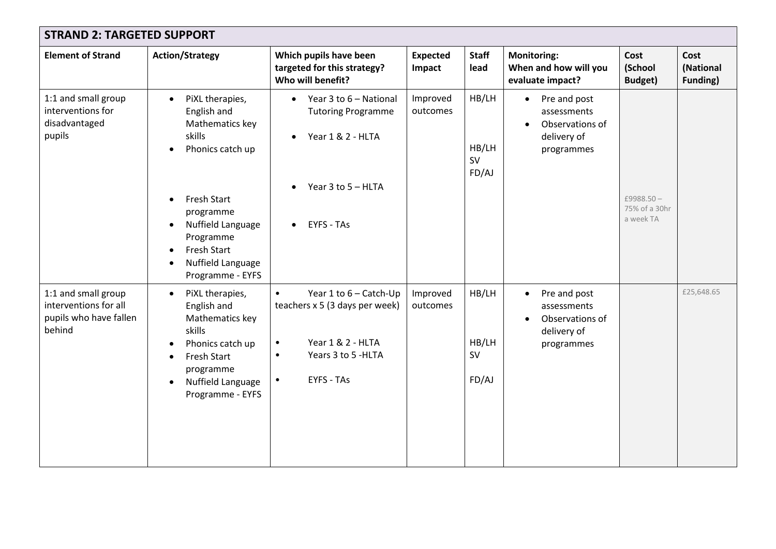| <b>STRAND 2: TARGETED SUPPORT</b>                                                |                                                                                                                                                                                                                    |                                                                                                                                                                               |                           |                                      |                                                                                                       |                                            |                                      |
|----------------------------------------------------------------------------------|--------------------------------------------------------------------------------------------------------------------------------------------------------------------------------------------------------------------|-------------------------------------------------------------------------------------------------------------------------------------------------------------------------------|---------------------------|--------------------------------------|-------------------------------------------------------------------------------------------------------|--------------------------------------------|--------------------------------------|
| <b>Element of Strand</b>                                                         | <b>Action/Strategy</b>                                                                                                                                                                                             | Which pupils have been<br>targeted for this strategy?<br>Who will benefit?                                                                                                    | <b>Expected</b><br>Impact | <b>Staff</b><br>lead                 | <b>Monitoring:</b><br>When and how will you<br>evaluate impact?                                       | Cost<br>(School<br>Budget)                 | Cost<br>(National<br><b>Funding)</b> |
| 1:1 and small group<br>interventions for<br>disadvantaged<br>pupils              | PiXL therapies,<br>$\bullet$<br>English and<br>Mathematics key<br>skills<br>Phonics catch up<br>Fresh Start<br>programme<br>Nuffield Language<br>Programme<br>Fresh Start<br>Nuffield Language<br>Programme - EYFS | • Year 3 to $6 -$ National<br><b>Tutoring Programme</b><br>Year 1 & 2 - HLTA<br>$\bullet$<br>Year 3 to 5 - HLTA<br>$\bullet$<br><b>EYFS - TAs</b><br>$\bullet$                | Improved<br>outcomes      | HB/LH<br>HB/LH<br><b>SV</b><br>FD/AJ | Pre and post<br>$\bullet$<br>assessments<br>Observations of<br>$\bullet$<br>delivery of<br>programmes | £9988.50 $-$<br>75% of a 30hr<br>a week TA |                                      |
| 1:1 and small group<br>interventions for all<br>pupils who have fallen<br>behind | PiXL therapies,<br>$\bullet$<br>English and<br>Mathematics key<br>skills<br>Phonics catch up<br><b>Fresh Start</b><br>programme<br>Nuffield Language<br>$\bullet$<br>Programme - EYFS                              | Year 1 to 6 - Catch-Up<br>$\bullet$<br>teachers x 5 (3 days per week)<br>Year 1 & 2 - HLTA<br>$\bullet$<br>Years 3 to 5 - HLTA<br>$\bullet$<br><b>EYFS - TAs</b><br>$\bullet$ | Improved<br>outcomes      | HB/LH<br>HB/LH<br>SV<br>FD/AJ        | Pre and post<br>$\bullet$<br>assessments<br>Observations of<br>delivery of<br>programmes              |                                            | £25,648.65                           |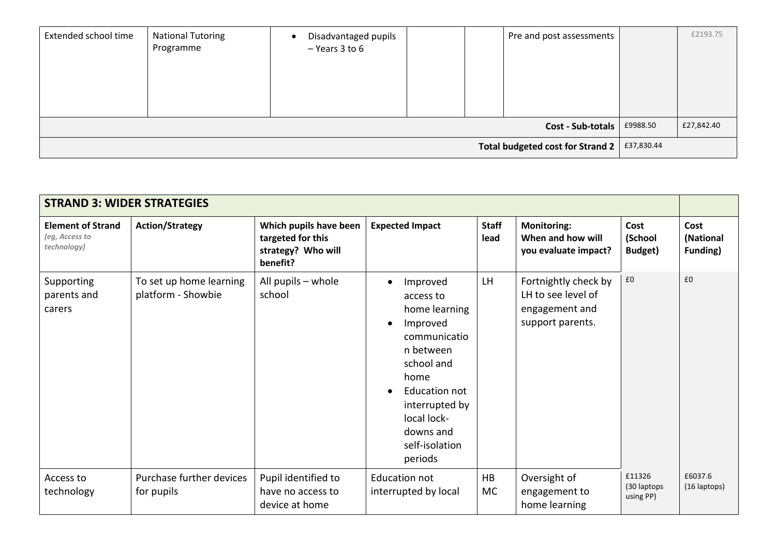| Extended school time             | <b>National Tutoring</b><br>Programme | Disadvantaged pupils<br>$-$ Years 3 to 6 |  |  | Pre and post assessments |            | £2193.75 |
|----------------------------------|---------------------------------------|------------------------------------------|--|--|--------------------------|------------|----------|
| Cost - Sub-totals                |                                       |                                          |  |  | £9988.50                 | £27,842.40 |          |
| Total budgeted cost for Strand 2 |                                       |                                          |  |  |                          | £37,830.44 |          |

| <b>STRAND 3: WIDER STRATEGIES</b>                         |                                               |                                                                               |                                                                                                                                                                                                                                          |                      |                                                                                  |                                     |                                      |
|-----------------------------------------------------------|-----------------------------------------------|-------------------------------------------------------------------------------|------------------------------------------------------------------------------------------------------------------------------------------------------------------------------------------------------------------------------------------|----------------------|----------------------------------------------------------------------------------|-------------------------------------|--------------------------------------|
| <b>Element of Strand</b><br>(eg, Access to<br>technology) | <b>Action/Strategy</b>                        | Which pupils have been<br>targeted for this<br>strategy? Who will<br>benefit? | <b>Expected Impact</b>                                                                                                                                                                                                                   | <b>Staff</b><br>lead | <b>Monitoring:</b><br>When and how will<br>you evaluate impact?                  | Cost<br>(School<br>Budget)          | Cost<br>(National<br><b>Funding)</b> |
| Supporting<br>parents and<br>carers                       | To set up home learning<br>platform - Showbie | All pupils - whole<br>school                                                  | Improved<br>$\bullet$<br>access to<br>home learning<br>Improved<br>$\bullet$<br>communicatio<br>n between<br>school and<br>home<br>Education not<br>$\bullet$<br>interrupted by<br>local lock-<br>downs and<br>self-isolation<br>periods | <b>LH</b>            | Fortnightly check by<br>LH to see level of<br>engagement and<br>support parents. | £0                                  | £0                                   |
| Access to<br>technology                                   | Purchase further devices<br>for pupils        | Pupil identified to<br>have no access to<br>device at home                    | <b>Education not</b><br>interrupted by local                                                                                                                                                                                             | HB<br>МC             | Oversight of<br>engagement to<br>home learning                                   | £11326<br>(30 laptops)<br>using PP) | £6037.6<br>(16 laptops)              |